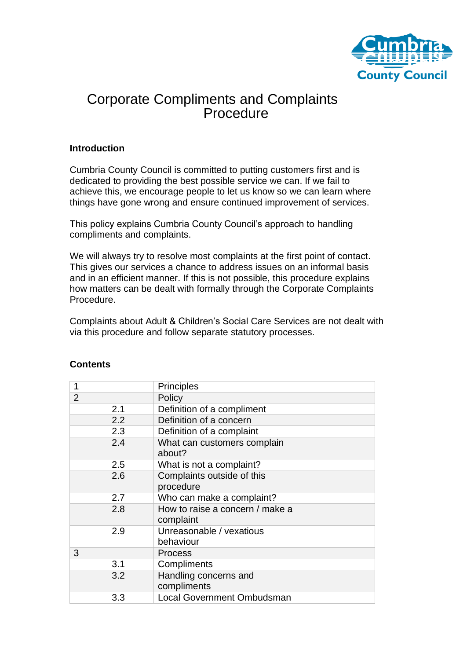

# Corporate Compliments and Complaints **Procedure**

## **Introduction**

Cumbria County Council is committed to putting customers first and is dedicated to providing the best possible service we can. If we fail to achieve this, we encourage people to let us know so we can learn where things have gone wrong and ensure continued improvement of services.

This policy explains Cumbria County Council's approach to handling compliments and complaints.

We will always try to resolve most complaints at the first point of contact. This gives our services a chance to address issues on an informal basis and in an efficient manner. If this is not possible, this procedure explains how matters can be dealt with formally through the Corporate Complaints Procedure.

Complaints about Adult & Children's Social Care Services are not dealt with via this procedure and follow separate statutory processes.

| 1              |     | Principles                                   |  |  |
|----------------|-----|----------------------------------------------|--|--|
| $\overline{2}$ |     | Policy                                       |  |  |
|                | 2.1 | Definition of a compliment                   |  |  |
|                | 2.2 | Definition of a concern                      |  |  |
|                | 2.3 | Definition of a complaint                    |  |  |
|                | 2.4 | What can customers complain<br>about?        |  |  |
|                | 2.5 | What is not a complaint?                     |  |  |
|                | 2.6 | Complaints outside of this<br>procedure      |  |  |
|                | 2.7 | Who can make a complaint?                    |  |  |
|                | 2.8 | How to raise a concern / make a<br>complaint |  |  |
|                | 2.9 | Unreasonable / vexatious<br>behaviour        |  |  |
| 3              |     | <b>Process</b>                               |  |  |
|                | 3.1 | Compliments                                  |  |  |
|                | 3.2 | Handling concerns and<br>compliments         |  |  |
|                | 3.3 | <b>Local Government Ombudsman</b>            |  |  |

## **Contents**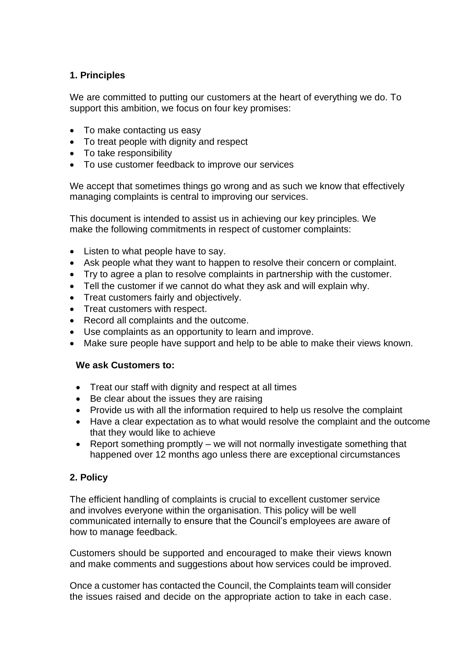# **1. Principles**

We are committed to putting our customers at the heart of everything we do. To support this ambition, we focus on four key promises:

- To make contacting us easy
- To treat people with dignity and respect
- To take responsibility
- To use customer feedback to improve our services

We accept that sometimes things go wrong and as such we know that effectively managing complaints is central to improving our services.

This document is intended to assist us in achieving our key principles. We make the following commitments in respect of customer complaints:

- Listen to what people have to say.
- Ask people what they want to happen to resolve their concern or complaint.
- Try to agree a plan to resolve complaints in partnership with the customer.
- Tell the customer if we cannot do what they ask and will explain why.
- Treat customers fairly and objectively.
- Treat customers with respect.
- Record all complaints and the outcome.
- Use complaints as an opportunity to learn and improve.
- Make sure people have support and help to be able to make their views known.

## **We ask Customers to:**

- Treat our staff with dignity and respect at all times
- Be clear about the issues they are raising
- Provide us with all the information required to help us resolve the complaint
- Have a clear expectation as to what would resolve the complaint and the outcome that they would like to achieve
- Report something promptly we will not normally investigate something that happened over 12 months ago unless there are exceptional circumstances

# **2. Policy**

The efficient handling of complaints is crucial to excellent customer service and involves everyone within the organisation. This policy will be well communicated internally to ensure that the Council's employees are aware of how to manage feedback.

Customers should be supported and encouraged to make their views known and make comments and suggestions about how services could be improved.

Once a customer has contacted the Council, the Complaints team will consider the issues raised and decide on the appropriate action to take in each case.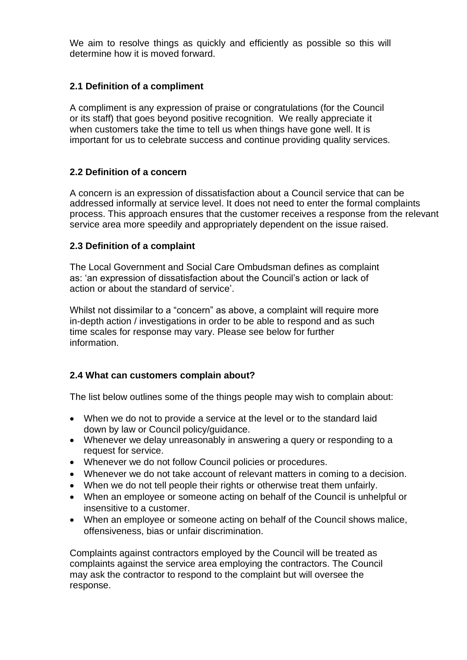We aim to resolve things as quickly and efficiently as possible so this will determine how it is moved forward.

# **2.1 Definition of a compliment**

A compliment is any expression of praise or congratulations (for the Council or its staff) that goes beyond positive recognition. We really appreciate it when customers take the time to tell us when things have gone well. It is important for us to celebrate success and continue providing quality services.

# **2.2 Definition of a concern**

A concern is an expression of dissatisfaction about a Council service that can be addressed informally at service level. It does not need to enter the formal complaints process. This approach ensures that the customer receives a response from the relevant service area more speedily and appropriately dependent on the issue raised.

# **2.3 Definition of a complaint**

The Local Government and Social Care Ombudsman defines as complaint as: 'an expression of dissatisfaction about the Council's action or lack of action or about the standard of service'.

Whilst not dissimilar to a "concern" as above, a complaint will require more in-depth action / investigations in order to be able to respond and as such time scales for response may vary. Please see below for further information.

# **2.4 What can customers complain about?**

The list below outlines some of the things people may wish to complain about:

- When we do not to provide a service at the level or to the standard laid down by law or Council policy/guidance.
- Whenever we delay unreasonably in answering a query or responding to a request for service.
- Whenever we do not follow Council policies or procedures.
- Whenever we do not take account of relevant matters in coming to a decision.
- When we do not tell people their rights or otherwise treat them unfairly.
- When an employee or someone acting on behalf of the Council is unhelpful or insensitive to a customer.
- When an employee or someone acting on behalf of the Council shows malice, offensiveness, bias or unfair discrimination.

Complaints against contractors employed by the Council will be treated as complaints against the service area employing the contractors. The Council may ask the contractor to respond to the complaint but will oversee the response.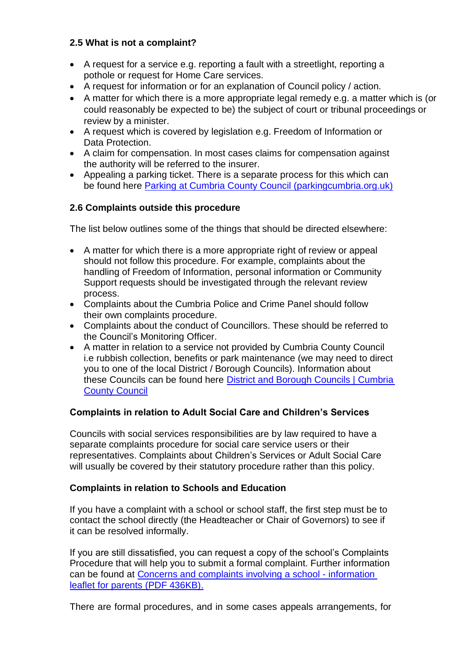# **2.5 What is not a complaint?**

- A request for a service e.g. reporting a fault with a streetlight, reporting a pothole or request for Home Care services.
- A request for information or for an explanation of Council policy / action.
- A matter for which there is a more appropriate legal remedy e.g. a matter which is (or could reasonably be expected to be) the subject of court or tribunal proceedings or review by a minister.
- A request which is covered by legislation e.g. Freedom of Information or Data Protection.
- A claim for compensation. In most cases claims for compensation against the authority will be referred to the insurer.
- Appealing a parking ticket. There is a separate process for this which can be found here [Parking at Cumbria County Council \(parkingcumbria.org.uk\)](https://www.parkingcumbria.org.uk/pages/home.aspx)

# **2.6 Complaints outside this procedure**

The list below outlines some of the things that should be directed elsewhere:

- A matter for which there is a more appropriate right of review or appeal should not follow this procedure. For example, complaints about the handling of Freedom of Information, personal information or Community Support requests should be investigated through the relevant review process.
- Complaints about the Cumbria Police and Crime Panel should follow their own complaints procedure.
- Complaints about the conduct of Councillors. These should be referred to the Council's Monitoring Officer.
- A matter in relation to a service not provided by Cumbria County Council i.e rubbish collection, benefits or park maintenance (we may need to direct you to one of the local District / Borough Councils). Information about these Councils can be found here [District and Borough Councils | Cumbria](https://www.cumbria.gov.uk/council-democracy/organisations/districts/default.asp)  [County Council](https://www.cumbria.gov.uk/council-democracy/organisations/districts/default.asp)

# **Complaints in relation to Adult Social Care and Children's Services**

Councils with social services responsibilities are by law required to have a separate complaints procedure for social care service users or their representatives. Complaints about Children's Services or Adult Social Care will usually be covered by their statutory procedure rather than this policy.

## **Complaints in relation to Schools and Education**

If you have a complaint with a school or school staff, the first step must be to contact the school directly (the Headteacher or Chair of Governors) to see if it can be resolved informally.

If you are still dissatisfied, you can request a copy of the school's Complaints Procedure that will help you to submit a formal complaint. Further information can be found at [Concerns and complaints involving a school -](https://cumbria.gov.uk/eLibrary/view.asp?ID=90697) information [leaflet for parents](https://cumbria.gov.uk/eLibrary/view.asp?ID=90697) (PDF 436KB).

There are formal procedures, and in some cases appeals arrangements, for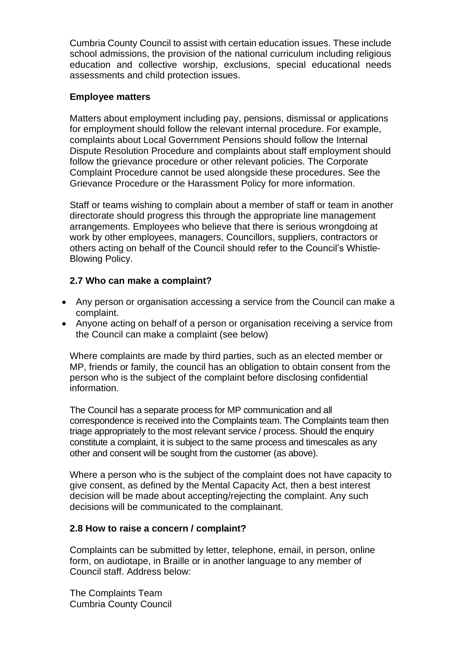Cumbria County Council to assist with certain education issues. These include school admissions, the provision of the national curriculum including religious education and collective worship, exclusions, special educational needs assessments and child protection issues.

#### **Employee matters**

Matters about employment including pay, pensions, dismissal or applications for employment should follow the relevant internal procedure. For example, complaints about Local Government Pensions should follow the Internal Dispute Resolution Procedure and complaints about staff employment should follow the grievance procedure or other relevant policies. The Corporate Complaint Procedure cannot be used alongside these procedures. See the Grievance Procedure or the Harassment Policy for more information.

Staff or teams wishing to complain about a member of staff or team in another directorate should progress this through the appropriate line management arrangements. Employees who believe that there is serious wrongdoing at work by other employees, managers, Councillors, suppliers, contractors or others acting on behalf of the Council should refer to the Council's Whistle-Blowing Policy.

## **2.7 Who can make a complaint?**

- Any person or organisation accessing a service from the Council can make a complaint.
- Anyone acting on behalf of a person or organisation receiving a service from the Council can make a complaint (see below)

Where complaints are made by third parties, such as an elected member or MP, friends or family, the council has an obligation to obtain consent from the person who is the subject of the complaint before disclosing confidential information.

The Council has a separate process for MP communication and all correspondence is received into the Complaints team. The Complaints team then triage appropriately to the most relevant service / process. Should the enquiry constitute a complaint, it is subject to the same process and timescales as any other and consent will be sought from the customer (as above).

Where a person who is the subject of the complaint does not have capacity to give consent, as defined by the Mental Capacity Act, then a best interest decision will be made about accepting/rejecting the complaint. Any such decisions will be communicated to the complainant.

## **2.8 How to raise a concern / complaint?**

Complaints can be submitted by letter, telephone, email, in person, online form, on audiotape, in Braille or in another language to any member of Council staff. Address below:

The Complaints Team Cumbria County Council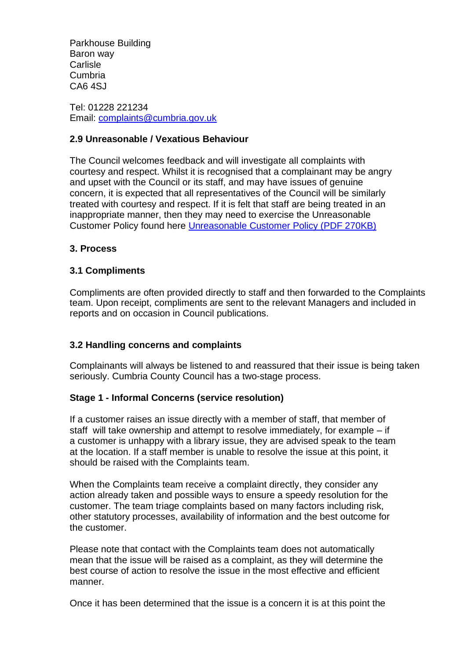Parkhouse Building Baron way **Carlisle** Cumbria CA6 4SJ

Tel: 01228 221234 Email: [complaints@cumbria.gov.uk](mailto:complaints@cumbria.gov.uk) 

## **2.9 Unreasonable / Vexatious Behaviour**

The Council welcomes feedback and will investigate all complaints with courtesy and respect. Whilst it is recognised that a complainant may be angry and upset with the Council or its staff, and may have issues of genuine concern, it is expected that all representatives of the Council will be similarly treated with courtesy and respect. If it is felt that staff are being treated in an inappropriate manner, then they may need to exercise the Unreasonable Customer Policy found here [Unreasonable Customer Policy \(PDF 270KB\)](https://cumbria.gov.uk/eLibrary/Content/Internet/536/6357/42766152553.pdf)

## **3. Process**

## **3.1 Compliments**

Compliments are often provided directly to staff and then forwarded to the Complaints team. Upon receipt, compliments are sent to the relevant Managers and included in reports and on occasion in Council publications.

## **3.2 Handling concerns and complaints**

Complainants will always be listened to and reassured that their issue is being taken seriously. Cumbria County Council has a two-stage process.

## **Stage 1 - Informal Concerns (service resolution)**

If a customer raises an issue directly with a member of staff, that member of staff will take ownership and attempt to resolve immediately, for example – if a customer is unhappy with a library issue, they are advised speak to the team at the location. If a staff member is unable to resolve the issue at this point, it should be raised with the Complaints team.

When the Complaints team receive a complaint directly, they consider any action already taken and possible ways to ensure a speedy resolution for the customer. The team triage complaints based on many factors including risk, other statutory processes, availability of information and the best outcome for the customer.

Please note that contact with the Complaints team does not automatically mean that the issue will be raised as a complaint, as they will determine the best course of action to resolve the issue in the most effective and efficient manner.

Once it has been determined that the issue is a concern it is at this point the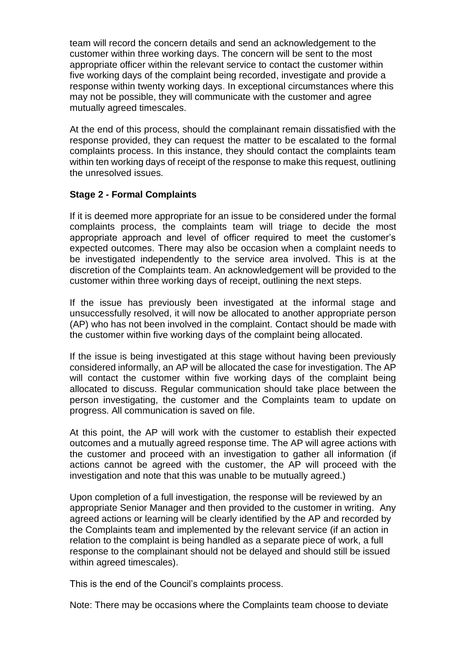team will record the concern details and send an acknowledgement to the customer within three working days. The concern will be sent to the most appropriate officer within the relevant service to contact the customer within five working days of the complaint being recorded, investigate and provide a response within twenty working days. In exceptional circumstances where this may not be possible, they will communicate with the customer and agree mutually agreed timescales.

At the end of this process, should the complainant remain dissatisfied with the response provided, they can request the matter to be escalated to the formal complaints process. In this instance, they should contact the complaints team within ten working days of receipt of the response to make this request, outlining the unresolved issues.

#### **Stage 2 - Formal Complaints**

If it is deemed more appropriate for an issue to be considered under the formal complaints process, the complaints team will triage to decide the most appropriate approach and level of officer required to meet the customer's expected outcomes. There may also be occasion when a complaint needs to be investigated independently to the service area involved. This is at the discretion of the Complaints team. An acknowledgement will be provided to the customer within three working days of receipt, outlining the next steps.

If the issue has previously been investigated at the informal stage and unsuccessfully resolved, it will now be allocated to another appropriate person (AP) who has not been involved in the complaint. Contact should be made with the customer within five working days of the complaint being allocated.

If the issue is being investigated at this stage without having been previously considered informally, an AP will be allocated the case for investigation. The AP will contact the customer within five working days of the complaint being allocated to discuss. Regular communication should take place between the person investigating, the customer and the Complaints team to update on progress. All communication is saved on file.

At this point, the AP will work with the customer to establish their expected outcomes and a mutually agreed response time. The AP will agree actions with the customer and proceed with an investigation to gather all information (if actions cannot be agreed with the customer, the AP will proceed with the investigation and note that this was unable to be mutually agreed.)

Upon completion of a full investigation, the response will be reviewed by an appropriate Senior Manager and then provided to the customer in writing. Any agreed actions or learning will be clearly identified by the AP and recorded by the Complaints team and implemented by the relevant service (if an action in relation to the complaint is being handled as a separate piece of work, a full response to the complainant should not be delayed and should still be issued within agreed timescales).

This is the end of the Council's complaints process.

Note: There may be occasions where the Complaints team choose to deviate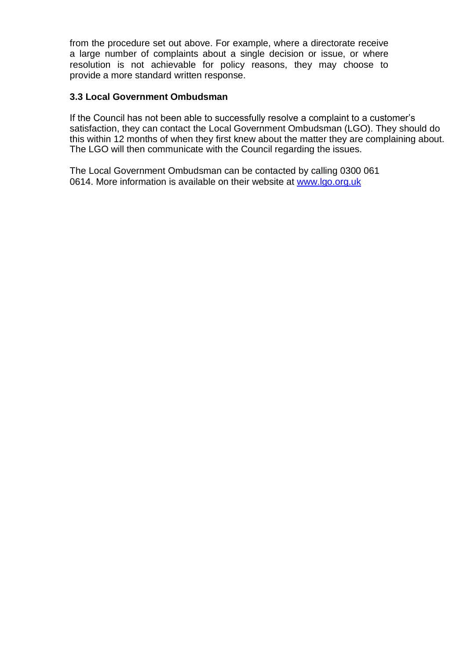from the procedure set out above. For example, where a directorate receive a large number of complaints about a single decision or issue, or where resolution is not achievable for policy reasons, they may choose to provide a more standard written response.

## **3.3 Local Government Ombudsman**

If the Council has not been able to successfully resolve a complaint to a customer's satisfaction, they can contact the Local Government Ombudsman (LGO). They should do this within 12 months of when they first knew about the matter they are complaining about. The LGO will then communicate with the Council regarding the issues.

The Local Government Ombudsman can be contacted by calling 0300 061 0614. More information is available on their website at [www.lgo.org.uk](http://www.lgo.org.uk/)